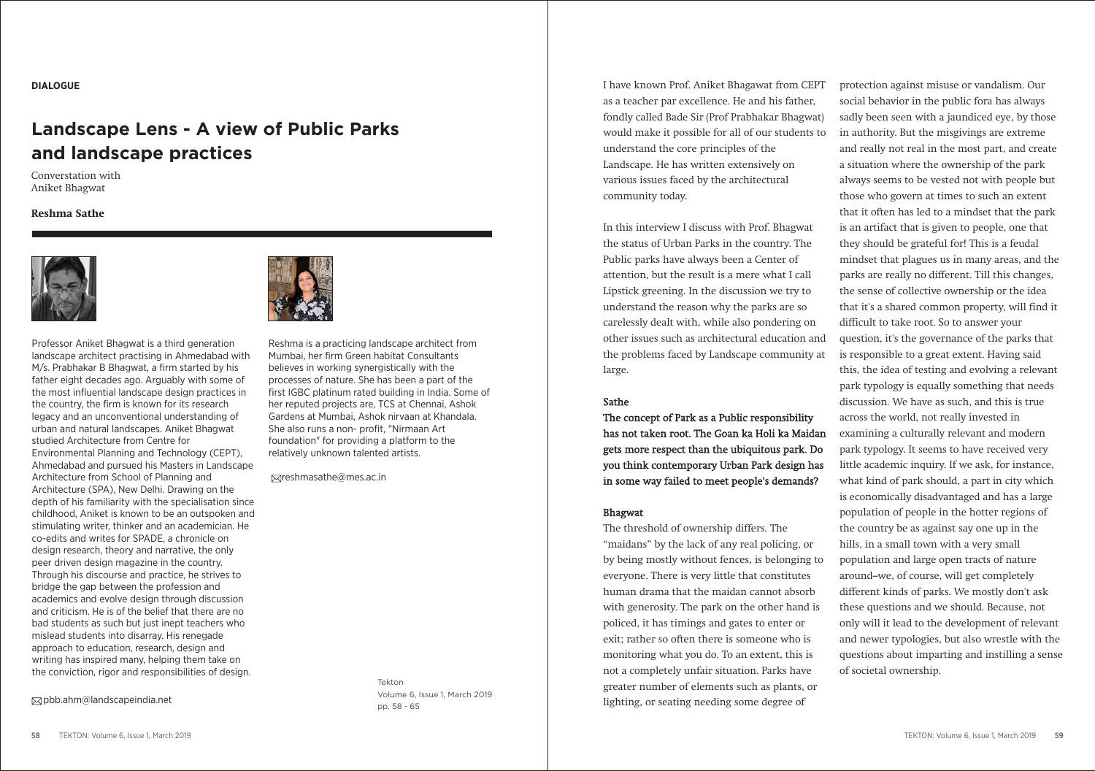# **DIALOGUE**

# **Landscape Lens - A view of Public Parks and landscape practices**

Converstation with Aniket Bhagwat

## **Reshma Sathe**



Professor Aniket Bhagwat is a third generation landscape architect practising in Ahmedabad with M/s. Prabhakar B Bhagwat, a firm started by his father eight decades ago. Arguably with some of the most influential landscape design practices in the country, the firm is known for its research legacy and an unconventional understanding of urban and natural landscapes. Aniket Bhagwat studied Architecture from Centre for Environmental Planning and Technology (CEPT), Ahmedabad and pursued his Masters in Landscape Architecture from School of Planning and Architecture (SPA), New Delhi. Drawing on the depth of his familiarity with the specialisation since childhood, Aniket is known to be an outspoken and stimulating writer, thinker and an academician. He co-edits and writes for SPADE, a chronicle on design research, theory and narrative, the only peer driven design magazine in the country. Through his discourse and practice, he strives to bridge the gap between the profession and academics and evolve design through discussion and criticism. He is of the belief that there are no bad students as such but just inept teachers who mislead students into disarray. His renegade approach to education, research, design and writing has inspired many, helping them take on the conviction, rigor and responsibilities of design.

 $\boxtimes$ pbb.ahm@landscapeindia.net



Reshma is a practicing landscape architect from Mumbai, her firm Green habitat Consultants believes in working synergistically with the processes of nature. She has been a part of the first IGBC platinum rated building in India. Some of her reputed projects are, TCS at Chennai, Ashok Gardens at Mumbai, Ashok nirvaan at Khandala. She also runs a non- profit, "Nirmaan Art foundation" for providing a platform to the relatively unknown talented artists.

 $\boxtimes$ reshmasathe@mes.ac.in

Tekton Volume 6, Issue 1, March 2019 pp. 58 - 65

I have known Prof. Aniket Bhagawat from CEPT as a teacher par excellence. He and his father, fondly called Bade Sir (Prof Prabhakar Bhagwat) would make it possible for all of our students to understand the core principles of the Landscape. He has written extensively on various issues faced by the architectural community today.

In this interview I discuss with Prof. Bhagwat the status of Urban Parks in the country. The Public parks have always been a Center of attention, but the result is a mere what I call Lipstick greening. In the discussion we try to understand the reason why the parks are so carelessly dealt with, while also pondering on other issues such as architectural education and the problems faced by Landscape community at large.

# Sathe

The concept of Park as a Public responsibility has not taken root. The Goan ka Holi ka Maidan gets more respect than the ubiquitous park. Do you think contemporary Urban Park design has in some way failed to meet people's demands?

# Bhagwat

The threshold of ownership differs. The "maidans" by the lack of any real policing, or by being mostly without fences, is belonging to everyone. There is very little that constitutes human drama that the maidan cannot absorb with generosity. The park on the other hand is policed, it has timings and gates to enter or exit; rather so often there is someone who is monitoring what you do. To an extent, this is not a completely unfair situation. Parks have greater number of elements such as plants, or lighting, or seating needing some degree of

protection against misuse or vandalism. Our social behavior in the public fora has always sadly been seen with a jaundiced eye, by those in authority. But the misgivings are extreme and really not real in the most part, and create a situation where the ownership of the park always seems to be vested not with people but those who govern at times to such an extent that it often has led to a mindset that the park is an artifact that is given to people, one that they should be grateful for! This is a feudal mindset that plagues us in many areas, and the parks are really no different. Till this changes, the sense of collective ownership or the idea that it's a shared common property, will find it difficult to take root. So to answer your question, it's the governance of the parks that is responsible to a great extent. Having said this, the idea of testing and evolving a relevant park typology is equally something that needs discussion. We have as such, and this is true across the world, not really invested in examining a culturally relevant and modern park typology. It seems to have received very little academic inquiry. If we ask, for instance, what kind of park should, a part in city which is economically disadvantaged and has a large population of people in the hotter regions of the country be as against say one up in the hills, in a small town with a very small population and large open tracts of nature around–we, of course, will get completely different kinds of parks. We mostly don't ask these questions and we should. Because, not only will it lead to the development of relevant and newer typologies, but also wrestle with the questions about imparting and instilling a sense of societal ownership.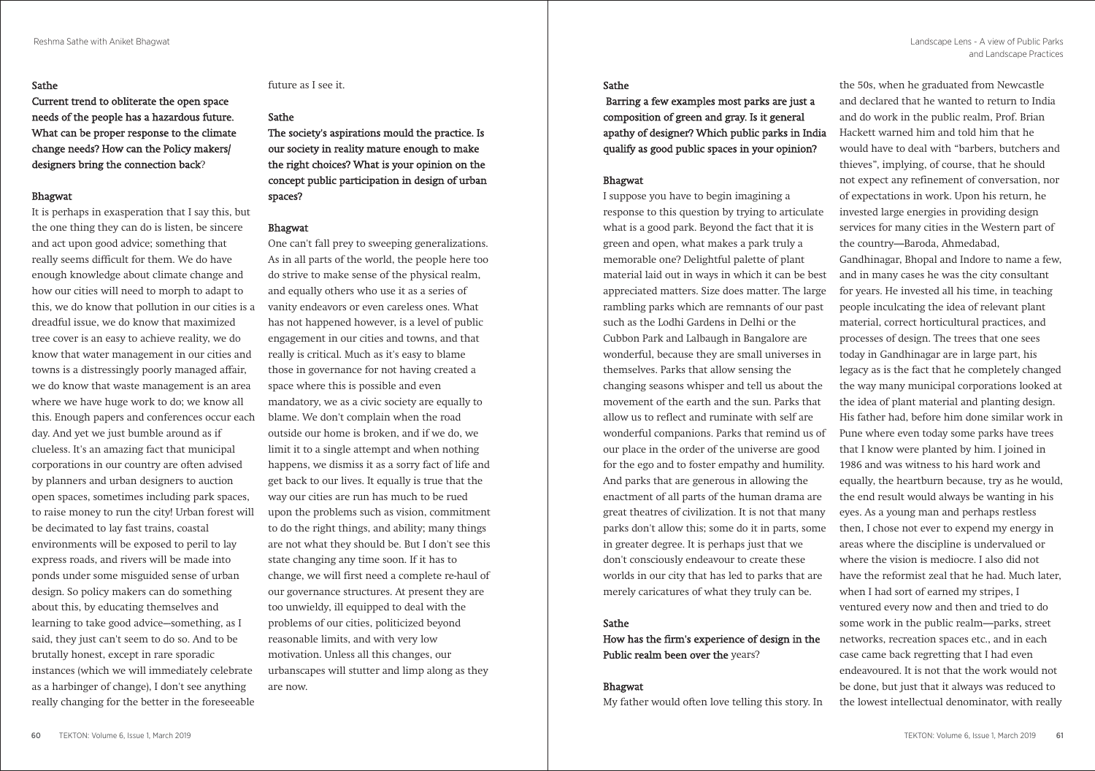## Sathe

Current trend to obliterate the open space needs of the people has a hazardous future. What can be proper response to the climate change needs? How can the Policy makers/ designers bring the connection back?

#### Bhagwat

It is perhaps in exasperation that I say this, but the one thing they can do is listen, be sincere and act upon good advice; something that really seems difficult for them. We do have enough knowledge about climate change and how our cities will need to morph to adapt to this, we do know that pollution in our cities is a dreadful issue, we do know that maximized tree cover is an easy to achieve reality, we do know that water management in our cities and towns is a distressingly poorly managed affair, we do know that waste management is an area where we have huge work to do; we know all this. Enough papers and conferences occur each day. And yet we just bumble around as if clueless. It's an amazing fact that municipal corporations in our country are often advised by planners and urban designers to auction open spaces, sometimes including park spaces, to raise money to run the city! Urban forest will be decimated to lay fast trains, coastal environments will be exposed to peril to lay express roads, and rivers will be made into ponds under some misguided sense of urban design. So policy makers can do something about this, by educating themselves and learning to take good advice–-something, as I said, they just can't seem to do so. And to be brutally honest, except in rare sporadic instances (which we will immediately celebrate as a harbinger of change), I don't see anything really changing for the better in the foreseeable

### future as I see it.

## Sathe

The society's aspirations mould the practice. Is our society in reality mature enough to make the right choices? What is your opinion on the concept public participation in design of urban spaces?

## Bhagwat

One can't fall prey to sweeping generalizations. As in all parts of the world, the people here too do strive to make sense of the physical realm, and equally others who use it as a series of vanity endeavors or even careless ones. What has not happened however, is a level of public engagement in our cities and towns, and that really is critical. Much as it's easy to blame those in governance for not having created a space where this is possible and even mandatory, we as a civic society are equally to blame. We don't complain when the road outside our home is broken, and if we do, we limit it to a single attempt and when nothing happens, we dismiss it as a sorry fact of life and get back to our lives. It equally is true that the way our cities are run has much to be rued upon the problems such as vision, commitment to do the right things, and ability; many things are not what they should be. But I don't see this state changing any time soon. If it has to change, we will first need a complete re-haul of our governance structures. At present they are too unwieldy, ill equipped to deal with the problems of our cities, politicized beyond reasonable limits, and with very low motivation. Unless all this changes, our urbanscapes will stutter and limp along as they are now.

## Sathe

 Barring a few examples most parks are just a composition of green and gray. Is it general apathy of designer? Which public parks in India qualify as good public spaces in your opinion?

# Bhagwat

I suppose you have to begin imagining a response to this question by trying to articulate what is a good park. Beyond the fact that it is green and open, what makes a park truly a memorable one? Delightful palette of plant material laid out in ways in which it can be best appreciated matters. Size does matter. The large rambling parks which are remnants of our past such as the Lodhi Gardens in Delhi or the Cubbon Park and Lalbaugh in Bangalore are wonderful, because they are small universes in themselves. Parks that allow sensing the changing seasons whisper and tell us about the movement of the earth and the sun. Parks that allow us to reflect and ruminate with self are wonderful companions. Parks that remind us of our place in the order of the universe are good for the ego and to foster empathy and humility. And parks that are generous in allowing the enactment of all parts of the human drama are great theatres of civilization. It is not that many parks don't allow this; some do it in parts, some in greater degree. It is perhaps just that we don't consciously endeavour to create these worlds in our city that has led to parks that are merely caricatures of what they truly can be.

# Sathe

How has the firm's experience of design in the Public realm been over the years?

#### Bhagwat

My father would often love telling this story. In

the 50s, when he graduated from Newcastle and declared that he wanted to return to India and do work in the public realm, Prof. Brian Hackett warned him and told him that he would have to deal with "barbers, butchers and thieves", implying, of course, that he should not expect any refinement of conversation, nor of expectations in work. Upon his return, he invested large energies in providing design services for many cities in the Western part of the country—Baroda, Ahmedabad, Gandhinagar, Bhopal and Indore to name a few, and in many cases he was the city consultant for years. He invested all his time, in teaching people inculcating the idea of relevant plant material, correct horticultural practices, and processes of design. The trees that one sees today in Gandhinagar are in large part, his legacy as is the fact that he completely changed the way many municipal corporations looked at the idea of plant material and planting design. His father had, before him done similar work in Pune where even today some parks have trees that I know were planted by him. I joined in 1986 and was witness to his hard work and equally, the heartburn because, try as he would, the end result would always be wanting in his eyes. As a young man and perhaps restless then, I chose not ever to expend my energy in areas where the discipline is undervalued or where the vision is mediocre. I also did not have the reformist zeal that he had. Much later, when I had sort of earned my stripes, I ventured every now and then and tried to do some work in the public realm—parks, street networks, recreation spaces etc., and in each case came back regretting that I had even endeavoured. It is not that the work would not be done, but just that it always was reduced to the lowest intellectual denominator, with really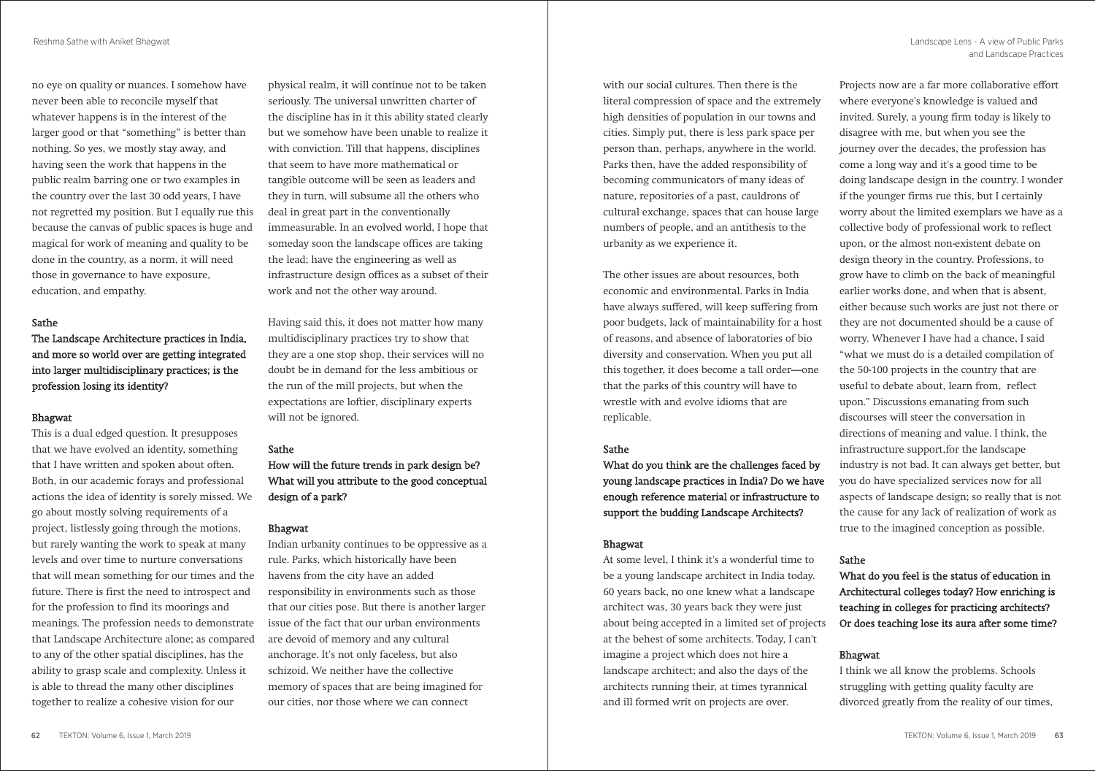no eye on quality or nuances. I somehow have never been able to reconcile myself that whatever happens is in the interest of the larger good or that "something" is better than nothing. So yes, we mostly stay away, and having seen the work that happens in the public realm barring one or two examples in the country over the last 30 odd years, I have not regretted my position. But I equally rue this because the canvas of public spaces is huge and magical for work of meaning and quality to be done in the country, as a norm, it will need those in governance to have exposure, education, and empathy.

#### Sathe

The Landscape Architecture practices in India, and more so world over are getting integrated into larger multidisciplinary practices; is the profession losing its identity?

## Bhagwat

This is a dual edged question. It presupposes that we have evolved an identity, something that I have written and spoken about often. Both, in our academic forays and professional actions the idea of identity is sorely missed. We go about mostly solving requirements of a project, listlessly going through the motions, but rarely wanting the work to speak at many levels and over time to nurture conversations that will mean something for our times and the future. There is first the need to introspect and for the profession to find its moorings and meanings. The profession needs to demonstrate that Landscape Architecture alone; as compared to any of the other spatial disciplines, has the ability to grasp scale and complexity. Unless it is able to thread the many other disciplines together to realize a cohesive vision for our

physical realm, it will continue not to be taken seriously. The universal unwritten charter of the discipline has in it this ability stated clearly but we somehow have been unable to realize it with conviction. Till that happens, disciplines that seem to have more mathematical or tangible outcome will be seen as leaders and they in turn, will subsume all the others who deal in great part in the conventionally immeasurable. In an evolved world, I hope that someday soon the landscape offices are taking the lead; have the engineering as well as infrastructure design offices as a subset of their work and not the other way around.

Having said this, it does not matter how many multidisciplinary practices try to show that they are a one stop shop, their services will no doubt be in demand for the less ambitious or the run of the mill projects, but when the expectations are loftier, disciplinary experts will not be ignored.

#### Sathe

How will the future trends in park design be? What will you attribute to the good conceptual design of a park?

# Bhagwat

Indian urbanity continues to be oppressive as a rule. Parks, which historically have been havens from the city have an added responsibility in environments such as those that our cities pose. But there is another larger issue of the fact that our urban environments are devoid of memory and any cultural anchorage. It's not only faceless, but also schizoid. We neither have the collective memory of spaces that are being imagined for our cities, nor those where we can connect

with our social cultures. Then there is the literal compression of space and the extremely high densities of population in our towns and cities. Simply put, there is less park space per person than, perhaps, anywhere in the world. Parks then, have the added responsibility of becoming communicators of many ideas of nature, repositories of a past, cauldrons of cultural exchange, spaces that can house large numbers of people, and an antithesis to the urbanity as we experience it.

The other issues are about resources, both economic and environmental. Parks in India have always suffered, will keep suffering from poor budgets, lack of maintainability for a host of reasons, and absence of laboratories of bio diversity and conservation. When you put all this together, it does become a tall order—one that the parks of this country will have to wrestle with and evolve idioms that are replicable.

#### Sathe

What do you think are the challenges faced by young landscape practices in India? Do we have enough reference material or infrastructure to support the budding Landscape Architects?

# Bhagwat

At some level, I think it's a wonderful time to be a young landscape architect in India today. 60 years back, no one knew what a landscape architect was, 30 years back they were just about being accepted in a limited set of projects at the behest of some architects. Today, I can't imagine a project which does not hire a landscape architect; and also the days of the architects running their, at times tyrannical and ill formed writ on projects are over.

Projects now are a far more collaborative effort where everyone's knowledge is valued and invited. Surely, a young firm today is likely to disagree with me, but when you see the journey over the decades, the profession has come a long way and it's a good time to be doing landscape design in the country. I wonder if the younger firms rue this, but I certainly worry about the limited exemplars we have as a collective body of professional work to reflect upon, or the almost non-existent debate on design theory in the country. Professions, to grow have to climb on the back of meaningful earlier works done, and when that is absent, either because such works are just not there or they are not documented should be a cause of worry. Whenever I have had a chance, I said "what we must do is a detailed compilation of the 50-100 projects in the country that are useful to debate about, learn from, reflect upon." Discussions emanating from such discourses will steer the conversation in directions of meaning and value. I think, the infrastructure support,for the landscape industry is not bad. It can always get better, but you do have specialized services now for all aspects of landscape design; so really that is not the cause for any lack of realization of work as true to the imagined conception as possible.

# Sathe

What do you feel is the status of education in Architectural colleges today? How enriching is teaching in colleges for practicing architects? Or does teaching lose its aura after some time?

# Bhagwat

I think we all know the problems. Schools struggling with getting quality faculty are divorced greatly from the reality of our times,